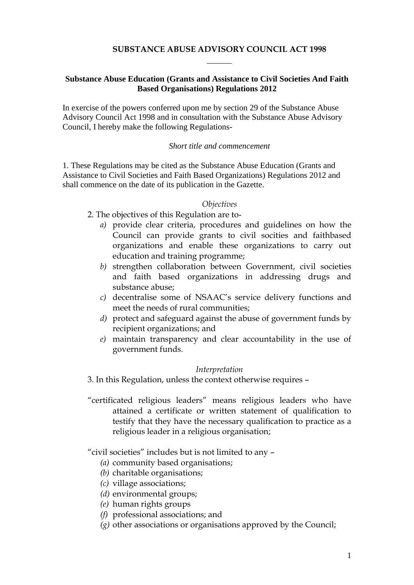## **SUBSTANCE ABUSE ADVISORY COUNCIL ACT 1998**

## **Substance Abuse Education (Grants and Assistance to Civil Societies And Faith Based Organisations) Regulations 2012**

In exercise of the powers conferred upon me by section 29 of the Substance Abuse Advisory Council Act 1998 and in consultation with the Substance Abuse Advisory Council, I hereby make the following Regulations-

#### *Short title and commencement*

1. These Regulations may be cited as the Substance Abuse Education (Grants and Assistance to Civil Societies and Faith Based Organizations) Regulations 2012 and shall commence on the date of its publication in the Gazette.

#### *Objectives*

- 2. The objectives of this Regulation are to
	- *a)* provide clear criteria, procedures and guidelines on how the Council can provide grants to civil socities and faithbased organizations and enable these organizations to carry out education and training programme;
	- *b)* strengthen collaboration between Government, civil societies and faith based organizations in addressing drugs and substance abuse;
	- *c)* decentralise some of NSAAC's service delivery functions and meet the needs of rural communities;
	- *d)* protect and safeguard against the abuse of government funds by recipient organizations; and
	- *e)* maintain transparency and clear accountability in the use of government funds.

### *Interpretation*

3. In this Regulation, unless the context otherwise requires –

"certificated religious leaders" means religious leaders who have attained a certificate or written statement of qualification to testify that they have the necessary qualification to practice as a religious leader in a religious organisation;

### "civil societies" includes but is not limited to any –

- *(a)* community based organisations;
- *(b)* charitable organisations;
- *(c)* village associations;
- *(d)* environmental groups;
- *(e)* human rights groups
- *(f)* professional associations; and
- *(g)* other associations or organisations approved by the Council;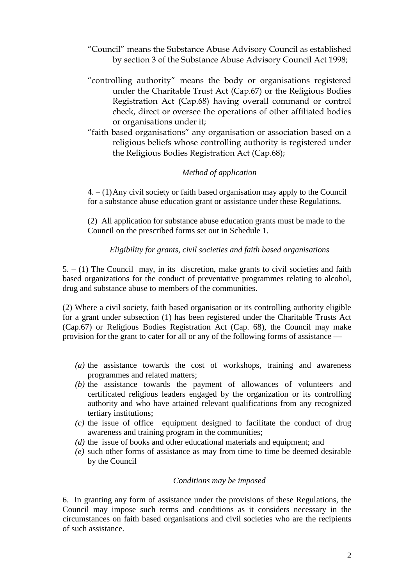- "Council" means the Substance Abuse Advisory Council as established by section 3 of the Substance Abuse Advisory Council Act 1998;
- "controlling authority" means the body or organisations registered under the Charitable Trust Act (Cap.67) or the Religious Bodies Registration Act (Cap.68) having overall command or control check, direct or oversee the operations of other affiliated bodies or organisations under it;
- "faith based organisations" any organisation or association based on a religious beliefs whose controlling authority is registered under the Religious Bodies Registration Act (Cap.68);

## *Method of application*

4. – (1)Any civil society or faith based organisation may apply to the Council for a substance abuse education grant or assistance under these Regulations.

(2) All application for substance abuse education grants must be made to the Council on the prescribed forms set out in Schedule 1.

### *Eligibility for grants, civil societies and faith based organisations*

 $5. - (1)$  The Council may, in its discretion, make grants to civil societies and faith based organizations for the conduct of preventative programmes relating to alcohol, drug and substance abuse to members of the communities.

(2) Where a civil society, faith based organisation or its controlling authority eligible for a grant under subsection (1) has been registered under the Charitable Trusts Act (Cap.67) or Religious Bodies Registration Act (Cap. 68), the Council may make provision for the grant to cater for all or any of the following forms of assistance —

- *(a)* the assistance towards the cost of workshops, training and awareness programmes and related matters;
- *(b)* the assistance towards the payment of allowances of volunteers and certificated religious leaders engaged by the organization or its controlling authority and who have attained relevant qualifications from any recognized tertiary institutions;
- *(c)* the issue of office equipment designed to facilitate the conduct of drug awareness and training program in the communities;
- *(d)* the issue of books and other educational materials and equipment; and
- *(e)* such other forms of assistance as may from time to time be deemed desirable by the Council

#### *Conditions may be imposed*

6. In granting any form of assistance under the provisions of these Regulations, the Council may impose such terms and conditions as it considers necessary in the circumstances on faith based organisations and civil societies who are the recipients of such assistance.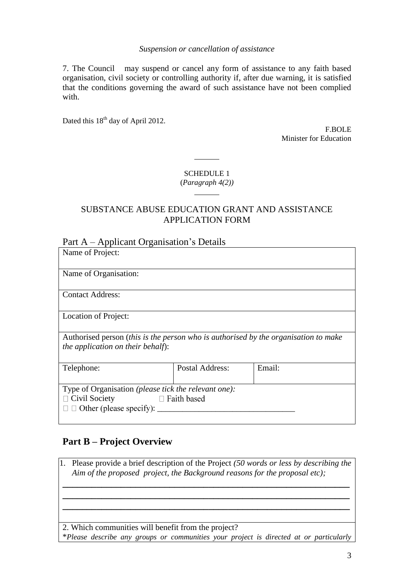## *Suspension or cancellation of assistance*

7. The Council may suspend or cancel any form of assistance to any faith based organisation, civil society or controlling authority if, after due warning, it is satisfied that the conditions governing the award of such assistance have not been complied with.

Dated this 18<sup>th</sup> day of April 2012.

F.BOLE Minister for Education

# SCHEDULE 1 (*Paragraph 4(2))*

# SUBSTANCE ABUSE EDUCATION GRANT AND ASSISTANCE APPLICATION FORM

# Part A – Applicant Organisation's Details

| Name of Project:                                                                                                                     |                        |        |
|--------------------------------------------------------------------------------------------------------------------------------------|------------------------|--------|
| Name of Organisation:                                                                                                                |                        |        |
| <b>Contact Address:</b>                                                                                                              |                        |        |
| Location of Project:                                                                                                                 |                        |        |
| Authorised person (this is the person who is authorised by the organisation to make<br>the application on their behalf):             |                        |        |
| Telephone:                                                                                                                           | <b>Postal Address:</b> | Email: |
| Type of Organisation (please tick the relevant one):<br>$\Box$ Civil Society<br>$\Box$ Faith based<br>$\Box$ Other (please specify): |                        |        |

# **Part B – Project Overview**

1. Please provide a brief description of the Project *(50 words or less by describing the Aim of the proposed project, the Background reasons for the proposal etc);*

**\_\_\_\_\_\_\_\_\_\_\_\_\_\_\_\_\_\_\_\_\_\_\_\_\_\_\_\_\_\_\_\_\_\_\_\_\_\_\_\_\_\_\_\_\_\_\_\_\_\_\_\_\_\_\_\_\_\_\_ \_\_\_\_\_\_\_\_\_\_\_\_\_\_\_\_\_\_\_\_\_\_\_\_\_\_\_\_\_\_\_\_\_\_\_\_\_\_\_\_\_\_\_\_\_\_\_\_\_\_\_\_\_\_\_\_\_\_\_ \_\_\_\_\_\_\_\_\_\_\_\_\_\_\_\_\_\_\_\_\_\_\_\_\_\_\_\_\_\_\_\_\_\_\_\_\_\_\_\_\_\_\_\_\_\_\_\_\_\_\_\_\_\_\_\_\_\_\_**

2. Which communities will benefit from the project?

\**Please describe any groups or communities your project is directed at or particularly*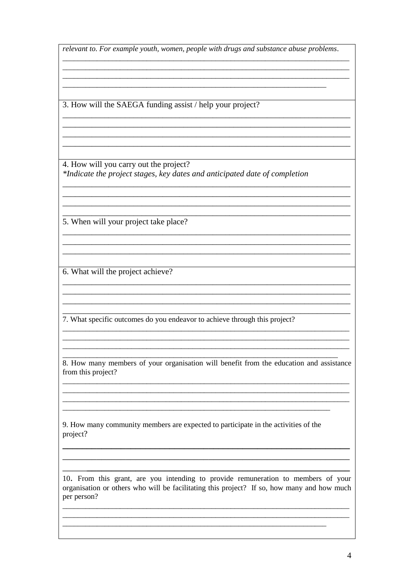relevant to. For example youth, women, people with drugs and substance abuse problems.

3. How will the SAEGA funding assist / help your project?

4. How will you carry out the project? \*Indicate the project stages, key dates and anticipated date of completion

5. When will your project take place?

6. What will the project achieve?

7. What specific outcomes do you endeavor to achieve through this project?

8. How many members of your organisation will benefit from the education and assistance from this project?

9. How many community members are expected to participate in the activities of the project?

10. From this grant, are you intending to provide remuneration to members of your organisation or others who will be facilitating this project? If so, how many and how much per person?